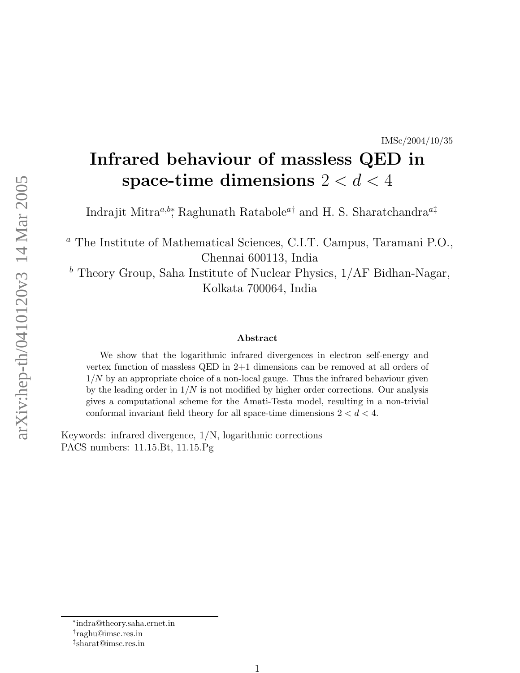#### IMSc/2004/10/35

# Infrared behaviour of massless QED in space-time dimensions  $2 < d < 4$

Indrajit Mitra<sup>a,b\*</sup>, Raghunath Ratabole<sup>a†</sup> and H. S. Sharatchandra<sup>a‡</sup>

<sup>a</sup> The Institute of Mathematical Sciences, C.I.T. Campus, Taramani P.O., Chennai 600113, India

 $<sup>b</sup>$  Theory Group, Saha Institute of Nuclear Physics,  $1/AF$  Bidhan-Nagar,</sup> Kolkata 700064, India

#### Abstract

We show that the logarithmic infrared divergences in electron self-energy and vertex function of massless QED in 2+1 dimensions can be removed at all orders of  $1/N$  by an appropriate choice of a non-local gauge. Thus the infrared behaviour given by the leading order in  $1/N$  is not modified by higher order corrections. Our analysis gives a computational scheme for the Amati-Testa model, resulting in a non-trivial conformal invariant field theory for all space-time dimensions  $2 < d < 4$ .

Keywords: infrared divergence, 1/N, logarithmic corrections PACS numbers: 11.15.Bt, 11.15.Pg

<sup>∗</sup> indra@theory.saha.ernet.in

<sup>†</sup> raghu@imsc.res.in

<sup>‡</sup> sharat@imsc.res.in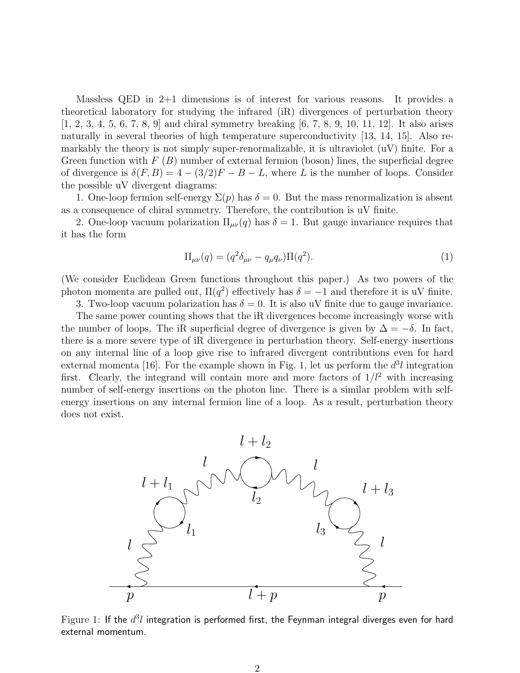Massless QED in 2+1 dimensions is of interest for various reasons. It provides a theoretical laboratory for studying the infrared (iR) divergences of perturbation theory  $[1, 2, 3, 4, 5, 6, 7, 8, 9]$  and chiral symmetry breaking  $[6, 7, 8, 9, 10, 11, 12]$ . It also arises naturally in several theories of high temperature superconductivity [13, 14, 15]. Also remarkably the theory is not simply super-renormalizable, it is ultraviolet (uV) finite. For a Green function with  $F(B)$  number of external fermion (boson) lines, the superficial degree of divergence is  $\delta(F, B) = 4 - (3/2)F - B - L$ , where L is the number of loops. Consider the possible uV divergent diagrams:

1. One-loop fermion self-energy  $\Sigma(p)$  has  $\delta = 0$ . But the mass renormalization is absent as a consequence of chiral symmetry. Therefore, the contribution is uV finite.

2. One-loop vacuum polarization  $\Pi_{\mu\nu}(q)$  has  $\delta = 1$ . But gauge invariance requires that it has the form

$$
\Pi_{\mu\nu}(q) = (q^2 \delta_{\mu\nu} - q_{\mu} q_{\nu}) \Pi(q^2).
$$
 (1)

(We consider Euclidean Green functions throughout this paper.) As two powers of the photon momenta are pulled out,  $\Pi(q^2)$  effectively has  $\delta = -1$  and therefore it is uV finite.

3. Two-loop vacuum polarization has  $\delta = 0$ . It is also uV finite due to gauge invariance. The same power counting shows that the iR divergences become increasingly worse with the number of loops. The iR superficial degree of divergence is given by  $\Delta = -\delta$ . In fact, there is a more severe type of iR divergence in perturbation theory. Self-energy insertions on any internal line of a loop give rise to infrared divergent contributions even for hard external momenta [16]. For the example shown in Fig. 1, let us perform the  $d^3l$  integration first. Clearly, the integrand will contain more and more factors of  $1/l^2$  with increasing number of self-energy insertions on the photon line. There is a similar problem with selfenergy insertions on any internal fermion line of a loop. As a result, perturbation theory does not exist.



Figure 1: If the  $d^3l$  integration is performed first, the Feynman integral diverges even for hard external momentum.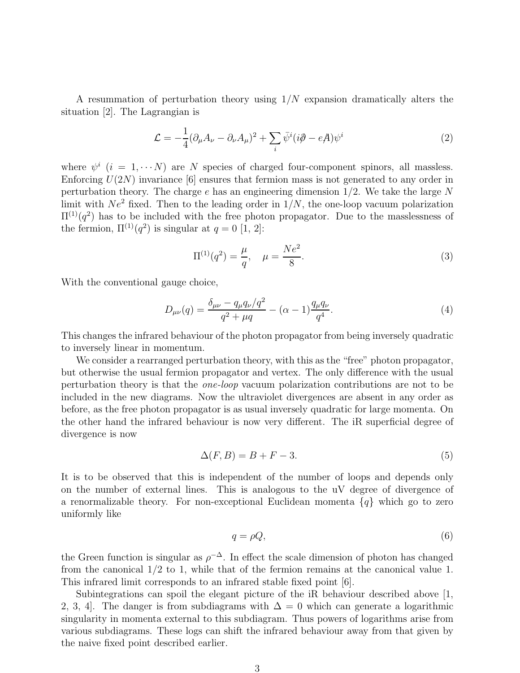A resummation of perturbation theory using  $1/N$  expansion dramatically alters the situation [2]. The Lagrangian is

$$
\mathcal{L} = -\frac{1}{4}(\partial_{\mu}A_{\nu} - \partial_{\nu}A_{\mu})^2 + \sum_{i} \bar{\psi}^i (i\partial - eA)\psi^i
$$
 (2)

where  $\psi^i$  (i = 1,  $\cdots$  N) are N species of charged four-component spinors, all massless. Enforcing  $U(2N)$  invariance [6] ensures that fermion mass is not generated to any order in perturbation theory. The charge  $e$  has an engineering dimension  $1/2$ . We take the large N limit with  $Ne^2$  fixed. Then to the leading order in  $1/N$ , the one-loop vacuum polarization  $\Pi^{(1)}(q^2)$  has to be included with the free photon propagator. Due to the masslessness of the fermion,  $\Pi^{(1)}(q^2)$  is singular at  $q=0$  [1, 2]:

$$
\Pi^{(1)}(q^2) = \frac{\mu}{q}, \quad \mu = \frac{Ne^2}{8}.\tag{3}
$$

With the conventional gauge choice,

$$
D_{\mu\nu}(q) = \frac{\delta_{\mu\nu} - q_{\mu}q_{\nu}/q^2}{q^2 + \mu q} - (\alpha - 1)\frac{q_{\mu}q_{\nu}}{q^4}.
$$
\n(4)

This changes the infrared behaviour of the photon propagator from being inversely quadratic to inversely linear in momentum.

We consider a rearranged perturbation theory, with this as the "free" photon propagator, but otherwise the usual fermion propagator and vertex. The only difference with the usual perturbation theory is that the one-loop vacuum polarization contributions are not to be included in the new diagrams. Now the ultraviolet divergences are absent in any order as before, as the free photon propagator is as usual inversely quadratic for large momenta. On the other hand the infrared behaviour is now very different. The iR superficial degree of divergence is now

$$
\Delta(F, B) = B + F - 3. \tag{5}
$$

It is to be observed that this is independent of the number of loops and depends only on the number of external lines. This is analogous to the uV degree of divergence of a renormalizable theory. For non-exceptional Euclidean momenta  $\{q\}$  which go to zero uniformly like

$$
q = \rho Q,\tag{6}
$$

the Green function is singular as  $\rho^{-\Delta}$ . In effect the scale dimension of photon has changed from the canonical 1/2 to 1, while that of the fermion remains at the canonical value 1. This infrared limit corresponds to an infrared stable fixed point [6].

Subintegrations can spoil the elegant picture of the iR behaviour described above [1, 2, 3, 4. The danger is from subdiagrams with  $\Delta = 0$  which can generate a logarithmic singularity in momenta external to this subdiagram. Thus powers of logarithms arise from various subdiagrams. These logs can shift the infrared behaviour away from that given by the naive fixed point described earlier.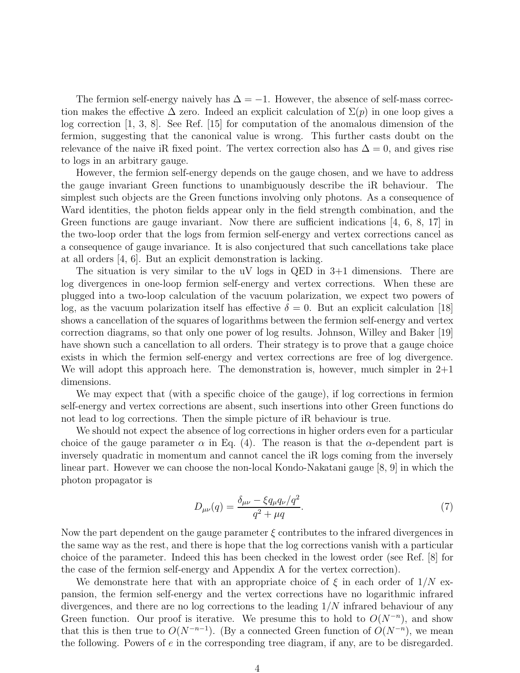The fermion self-energy naively has  $\Delta = -1$ . However, the absence of self-mass correction makes the effective  $\Delta$  zero. Indeed an explicit calculation of  $\Sigma(p)$  in one loop gives a log correction [1, 3, 8]. See Ref. [15] for computation of the anomalous dimension of the fermion, suggesting that the canonical value is wrong. This further casts doubt on the relevance of the naive iR fixed point. The vertex correction also has  $\Delta = 0$ , and gives rise to logs in an arbitrary gauge.

However, the fermion self-energy depends on the gauge chosen, and we have to address the gauge invariant Green functions to unambiguously describe the iR behaviour. The simplest such objects are the Green functions involving only photons. As a consequence of Ward identities, the photon fields appear only in the field strength combination, and the Green functions are gauge invariant. Now there are sufficient indications  $[4, 6, 8, 17]$  in the two-loop order that the logs from fermion self-energy and vertex corrections cancel as a consequence of gauge invariance. It is also conjectured that such cancellations take place at all orders [4, 6]. But an explicit demonstration is lacking.

The situation is very similar to the uV logs in QED in 3+1 dimensions. There are log divergences in one-loop fermion self-energy and vertex corrections. When these are plugged into a two-loop calculation of the vacuum polarization, we expect two powers of log, as the vacuum polarization itself has effective  $\delta = 0$ . But an explicit calculation [18] shows a cancellation of the squares of logarithms between the fermion self-energy and vertex correction diagrams, so that only one power of log results. Johnson, Willey and Baker [19] have shown such a cancellation to all orders. Their strategy is to prove that a gauge choice exists in which the fermion self-energy and vertex corrections are free of log divergence. We will adopt this approach here. The demonstration is, however, much simpler in  $2+1$ dimensions.

We may expect that (with a specific choice of the gauge), if log corrections in fermion self-energy and vertex corrections are absent, such insertions into other Green functions do not lead to log corrections. Then the simple picture of iR behaviour is true.

We should not expect the absence of log corrections in higher orders even for a particular choice of the gauge parameter  $\alpha$  in Eq. (4). The reason is that the  $\alpha$ -dependent part is inversely quadratic in momentum and cannot cancel the iR logs coming from the inversely linear part. However we can choose the non-local Kondo-Nakatani gauge [8, 9] in which the photon propagator is

$$
D_{\mu\nu}(q) = \frac{\delta_{\mu\nu} - \xi q_{\mu} q_{\nu}/q^2}{q^2 + \mu q}.
$$
\n(7)

Now the part dependent on the gauge parameter  $\xi$  contributes to the infrared divergences in the same way as the rest, and there is hope that the log corrections vanish with a particular choice of the parameter. Indeed this has been checked in the lowest order (see Ref. [8] for the case of the fermion self-energy and Appendix A for the vertex correction).

We demonstrate here that with an appropriate choice of  $\xi$  in each order of  $1/N$  expansion, the fermion self-energy and the vertex corrections have no logarithmic infrared divergences, and there are no log corrections to the leading  $1/N$  infrared behaviour of any Green function. Our proof is iterative. We presume this to hold to  $O(N^{-n})$ , and show that this is then true to  $O(N^{-n-1})$ . (By a connected Green function of  $O(N^{-n})$ , we mean the following. Powers of  $e$  in the corresponding tree diagram, if any, are to be disregarded.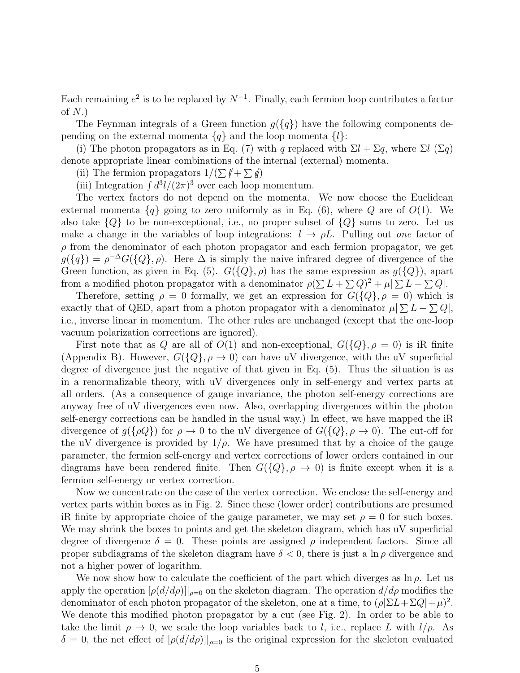Each remaining  $e^2$  is to be replaced by  $N^{-1}$ . Finally, each fermion loop contributes a factor of  $N$ .)

The Feynman integrals of a Green function  $g({q})$  have the following components depending on the external momenta  ${q}$  and the loop momenta  ${l}$ :

(i) The photon propagators as in Eq. (7) with q replaced with  $\Sigma l + \Sigma q$ , where  $\Sigma l$  ( $\Sigma q$ ) denote appropriate linear combinations of the internal (external) momenta.

(ii) The fermion propagators  $1/(\sum \cancel{l} + \sum \cancel{q})$ 

(iii) Integration  $\int d^3l/(2\pi)^3$  over each loop momentum.

The vertex factors do not depend on the momenta. We now choose the Euclidean external momenta  ${q}$  going to zero uniformly as in Eq. (6), where Q are of  $O(1)$ . We also take  ${Q}$  to be non-exceptional, i.e., no proper subset of  ${Q}$  sums to zero. Let us make a change in the variables of loop integrations:  $l \rightarrow \rho L$ . Pulling out one factor of  $\rho$  from the denominator of each photon propagator and each fermion propagator, we get  $g({q}) = \rho^{-\Delta} G({Q}, \rho)$ . Here  $\Delta$  is simply the naive infrared degree of divergence of the Green function, as given in Eq. (5).  $G({Q}, \rho)$  has the same expression as  $g({Q})$ , apart from a modified photon propagator with a denominator  $\rho(\sum L + \sum Q)^2 + \mu |\sum L + \sum Q|$ .

Therefore, setting  $\rho = 0$  formally, we get an expression for  $G({Q}, \rho = 0)$  which is exactly that of QED, apart from a photon propagator with a denominator  $\mu | \sum L + \sum Q|$ , i.e., inverse linear in momentum. The other rules are unchanged (except that the one-loop vacuum polarization corrections are ignored).

First note that as Q are all of  $O(1)$  and non-exceptional,  $G({Q}, \rho = 0)$  is iR finite (Appendix B). However,  $G({Q}, \rho \to 0)$  can have uV divergence, with the uV superficial degree of divergence just the negative of that given in Eq. (5). Thus the situation is as in a renormalizable theory, with uV divergences only in self-energy and vertex parts at all orders. (As a consequence of gauge invariance, the photon self-energy corrections are anyway free of uV divergences even now. Also, overlapping divergences within the photon self-energy corrections can be handled in the usual way.) In effect, we have mapped the iR divergence of  $g({\rho Q})$  for  $\rho \to 0$  to the uV divergence of  $G({Q}, \rho \to 0)$ . The cut-off for the uV divergence is provided by  $1/\rho$ . We have presumed that by a choice of the gauge parameter, the fermion self-energy and vertex corrections of lower orders contained in our diagrams have been rendered finite. Then  $G({Q}, \rho \rightarrow 0)$  is finite except when it is a fermion self-energy or vertex correction.

Now we concentrate on the case of the vertex correction. We enclose the self-energy and vertex parts within boxes as in Fig. 2. Since these (lower order) contributions are presumed iR finite by appropriate choice of the gauge parameter, we may set  $\rho = 0$  for such boxes. We may shrink the boxes to points and get the skeleton diagram, which has uV superficial degree of divergence  $\delta = 0$ . These points are assigned  $\rho$  independent factors. Since all proper subdiagrams of the skeleton diagram have  $\delta < 0$ , there is just a ln  $\rho$  divergence and not a higher power of logarithm.

We now show how to calculate the coefficient of the part which diverges as  $\ln \rho$ . Let us apply the operation  $[\rho(d/d\rho)]|_{\rho=0}$  on the skeleton diagram. The operation  $d/d\rho$  modifies the denominator of each photon propagator of the skeleton, one at a time, to  $(\rho|\Sigma L + \Sigma Q| + \mu)^2$ . We denote this modified photon propagator by a cut (see Fig. 2). In order to be able to take the limit  $\rho \to 0$ , we scale the loop variables back to l, i.e., replace L with  $l/\rho$ . As  $\delta = 0$ , the net effect of  $[\rho(d/d\rho)]|_{\rho=0}$  is the original expression for the skeleton evaluated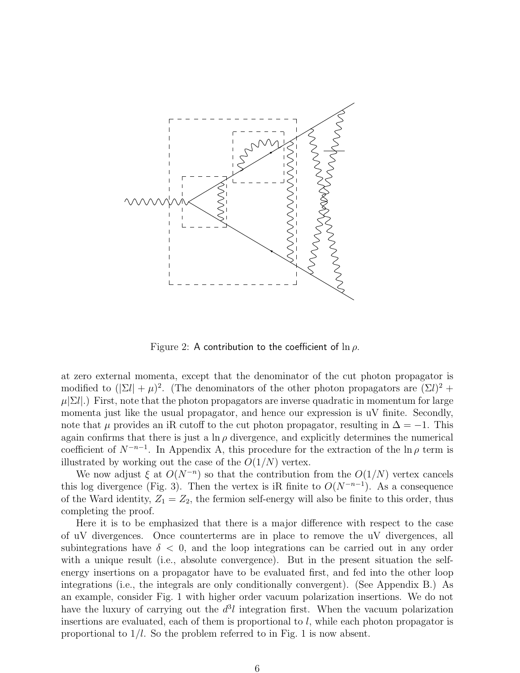

Figure 2: A contribution to the coefficient of  $\ln \rho$ .

at zero external momenta, except that the denominator of the cut photon propagator is modified to  $(|\Sigma l| + \mu)^2$ . (The denominators of the other photon propagators are  $(\Sigma l)^2$  +  $\mu[\Sigma l]$ .) First, note that the photon propagators are inverse quadratic in momentum for large momenta just like the usual propagator, and hence our expression is uV finite. Secondly, note that  $\mu$  provides an iR cutoff to the cut photon propagator, resulting in  $\Delta = -1$ . This again confirms that there is just a  $\ln \rho$  divergence, and explicitly determines the numerical coefficient of  $N^{-n-1}$ . In Appendix A, this procedure for the extraction of the ln $\rho$  term is illustrated by working out the case of the  $O(1/N)$  vertex.

We now adjust  $\xi$  at  $O(N^{-n})$  so that the contribution from the  $O(1/N)$  vertex cancels this log divergence (Fig. 3). Then the vertex is iR finite to  $O(N^{-n-1})$ . As a consequence of the Ward identity,  $Z_1 = Z_2$ , the fermion self-energy will also be finite to this order, thus completing the proof.

Here it is to be emphasized that there is a major difference with respect to the case of uV divergences. Once counterterms are in place to remove the uV divergences, all subintegrations have  $\delta$  < 0, and the loop integrations can be carried out in any order with a unique result (i.e., absolute convergence). But in the present situation the selfenergy insertions on a propagator have to be evaluated first, and fed into the other loop integrations (i.e., the integrals are only conditionally convergent). (See Appendix B.) As an example, consider Fig. 1 with higher order vacuum polarization insertions. We do not have the luxury of carrying out the  $d^3l$  integration first. When the vacuum polarization insertions are evaluated, each of them is proportional to  $l$ , while each photon propagator is proportional to  $1/l$ . So the problem referred to in Fig. 1 is now absent.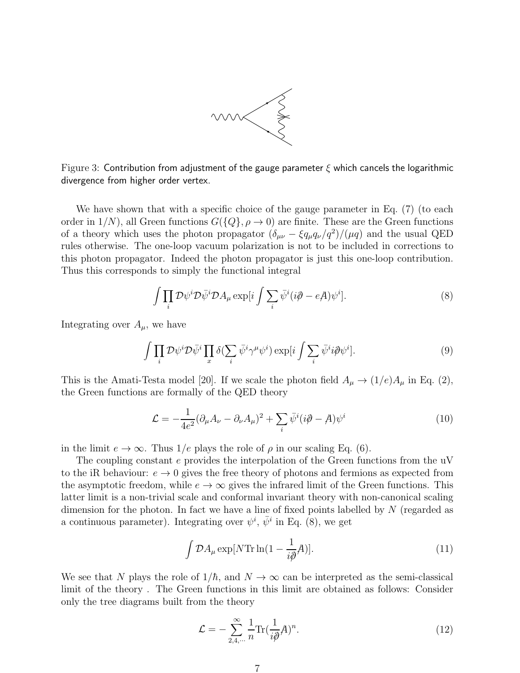

Figure 3: Contribution from adjustment of the gauge parameter  $\xi$  which cancels the logarithmic divergence from higher order vertex.

We have shown that with a specific choice of the gauge parameter in Eq. (7) (to each order in  $1/N$ , all Green functions  $G({Q}, \rho \to 0)$  are finite. These are the Green functions of a theory which uses the photon propagator  $(\delta_{\mu\nu} - \xi q_{\mu} q_{\nu}/q^2)/(\mu q)$  and the usual QED rules otherwise. The one-loop vacuum polarization is not to be included in corrections to this photon propagator. Indeed the photon propagator is just this one-loop contribution. Thus this corresponds to simply the functional integral

$$
\int \prod_i \mathcal{D}\psi^i \mathcal{D}\bar{\psi}^i \mathcal{D}A_\mu \exp[i \int \sum_i \bar{\psi}^i (i\partial - eA)\psi^i]. \tag{8}
$$

Integrating over  $A_{\mu}$ , we have

$$
\int \prod_i \mathcal{D}\psi^i \mathcal{D}\bar{\psi}^i \prod_x \delta(\sum_i \bar{\psi}^i \gamma^\mu \psi^i) \exp[i \int \sum_i \bar{\psi}^i i \partial \psi^i]. \tag{9}
$$

This is the Amati-Testa model [20]. If we scale the photon field  $A_\mu \to (1/e)A_\mu$  in Eq. (2), the Green functions are formally of the QED theory

$$
\mathcal{L} = -\frac{1}{4e^2} (\partial_\mu A_\nu - \partial_\nu A_\mu)^2 + \sum_i \bar{\psi}^i (i\partial - A) \psi^i
$$
 (10)

in the limit  $e \to \infty$ . Thus 1/e plays the role of  $\rho$  in our scaling Eq. (6).

The coupling constant e provides the interpolation of the Green functions from the uV to the iR behaviour:  $e \to 0$  gives the free theory of photons and fermions as expected from the asymptotic freedom, while  $e \to \infty$  gives the infrared limit of the Green functions. This latter limit is a non-trivial scale and conformal invariant theory with non-canonical scaling dimension for the photon. In fact we have a line of fixed points labelled by N (regarded as a continuous parameter). Integrating over  $\psi^i$ ,  $\bar{\psi}^i$  in Eq. (8), we get

$$
\int \mathcal{D}A_{\mu} \exp[N \text{Tr} \ln(1 - \frac{1}{i\partial}A)]. \tag{11}
$$

We see that N plays the role of  $1/\hbar$ , and  $N \to \infty$  can be interpreted as the semi-classical limit of the theory . The Green functions in this limit are obtained as follows: Consider only the tree diagrams built from the theory

$$
\mathcal{L} = -\sum_{2,4,\cdots}^{\infty} \frac{1}{n} \text{Tr}(\frac{1}{i\partial}A)^n.
$$
 (12)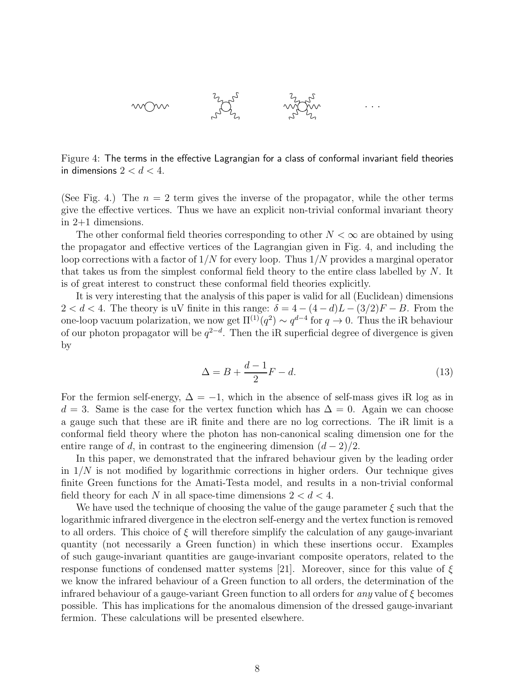

Figure 4: The terms in the effective Lagrangian for a class of conformal invariant field theories in dimensions  $2 < d < 4$ .

(See Fig. 4.) The  $n = 2$  term gives the inverse of the propagator, while the other terms give the effective vertices. Thus we have an explicit non-trivial conformal invariant theory in 2+1 dimensions.

The other conformal field theories corresponding to other  $N < \infty$  are obtained by using the propagator and effective vertices of the Lagrangian given in Fig. 4, and including the loop corrections with a factor of  $1/N$  for every loop. Thus  $1/N$  provides a marginal operator that takes us from the simplest conformal field theory to the entire class labelled by N. It is of great interest to construct these conformal field theories explicitly.

It is very interesting that the analysis of this paper is valid for all (Euclidean) dimensions  $2 < d < 4$ . The theory is uV finite in this range:  $\delta = 4 - (4 - d)L - (3/2)F - B$ . From the one-loop vacuum polarization, we now get  $\Pi^{(1)}(q^2) \sim q^{d-4}$  for  $q \to 0$ . Thus the iR behaviour of our photon propagator will be  $q^{2-d}$ . Then the iR superficial degree of divergence is given by

$$
\Delta = B + \frac{d-1}{2}F - d.\tag{13}
$$

For the fermion self-energy,  $\Delta = -1$ , which in the absence of self-mass gives iR log as in  $d = 3$ . Same is the case for the vertex function which has  $\Delta = 0$ . Again we can choose a gauge such that these are iR finite and there are no log corrections. The iR limit is a conformal field theory where the photon has non-canonical scaling dimension one for the entire range of d, in contrast to the engineering dimension  $(d-2)/2$ .

In this paper, we demonstrated that the infrared behaviour given by the leading order in  $1/N$  is not modified by logarithmic corrections in higher orders. Our technique gives finite Green functions for the Amati-Testa model, and results in a non-trivial conformal field theory for each N in all space-time dimensions  $2 < d < 4$ .

We have used the technique of choosing the value of the gauge parameter  $\xi$  such that the logarithmic infrared divergence in the electron self-energy and the vertex function is removed to all orders. This choice of  $\xi$  will therefore simplify the calculation of any gauge-invariant quantity (not necessarily a Green function) in which these insertions occur. Examples of such gauge-invariant quantities are gauge-invariant composite operators, related to the response functions of condensed matter systems [21]. Moreover, since for this value of  $\xi$ we know the infrared behaviour of a Green function to all orders, the determination of the infrared behaviour of a gauge-variant Green function to all orders for any value of  $\xi$  becomes possible. This has implications for the anomalous dimension of the dressed gauge-invariant fermion. These calculations will be presented elsewhere.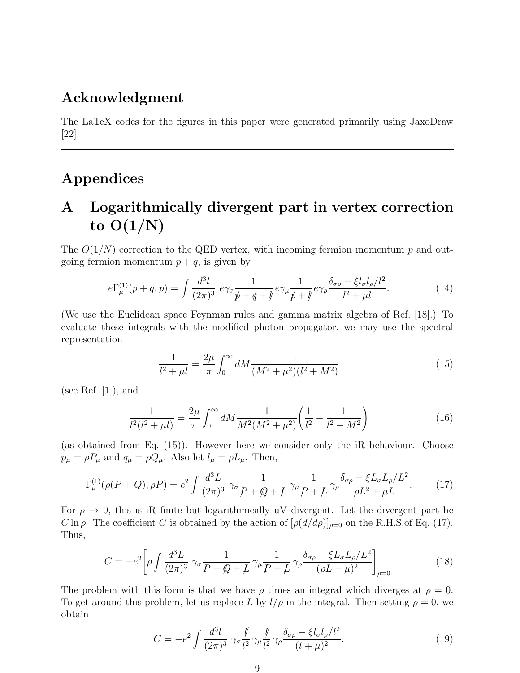#### Acknowledgment

The LaTeX codes for the figures in this paper were generated primarily using JaxoDraw [22].

### Appendices

## A Logarithmically divergent part in vertex correction to  $O(1/N)$

The  $O(1/N)$  correction to the QED vertex, with incoming fermion momentum p and outgoing fermion momentum  $p + q$ , is given by

$$
e\Gamma_{\mu}^{(1)}(p+q,p) = \int \frac{d^3l}{(2\pi)^3} \ e\gamma_{\sigma} \frac{1}{p+\not{q}+\not{q}} \ e\gamma_{\mu} \frac{1}{p+\not{p}} \ e\gamma_{\rho} \frac{\delta_{\sigma\rho} - \xi l_{\sigma}l_{\rho}/l^2}{l^2 + \mu l}.
$$
 (14)

(We use the Euclidean space Feynman rules and gamma matrix algebra of Ref. [18].) To evaluate these integrals with the modified photon propagator, we may use the spectral representation

$$
\frac{1}{l^2 + \mu l} = \frac{2\mu}{\pi} \int_0^\infty dM \frac{1}{(M^2 + \mu^2)(l^2 + M^2)}
$$
(15)

(see Ref.  $[1]$ ), and

$$
\frac{1}{l^2(l^2 + \mu l)} = \frac{2\mu}{\pi} \int_0^\infty dM \frac{1}{M^2(M^2 + \mu^2)} \left(\frac{1}{l^2} - \frac{1}{l^2 + M^2}\right) \tag{16}
$$

(as obtained from Eq. (15)). However here we consider only the iR behaviour. Choose  $p_{\mu} = \rho P_{\mu}$  and  $q_{\mu} = \rho Q_{\mu}$ . Also let  $l_{\mu} = \rho L_{\mu}$ . Then,

$$
\Gamma_{\mu}^{(1)}(\rho(P+Q), \rho P) = e^2 \int \frac{d^3 L}{(2\pi)^3} \gamma_{\sigma} \frac{1}{P+\mathcal{Q}+L} \gamma_{\mu} \frac{1}{P+L} \gamma_{\rho} \frac{\delta_{\sigma\rho} - \xi L_{\sigma} L_{\rho}/L^2}{\rho L^2 + \mu L}.
$$
 (17)

For  $\rho \to 0$ , this is iR finite but logarithmically uV divergent. Let the divergent part be C ln  $\rho$ . The coefficient C is obtained by the action of  $[\rho(d/d\rho)]_{\rho=0}$  on the R.H.S.of Eq. (17). Thus,

$$
C = -e^2 \left[ \rho \int \frac{d^3 L}{(2\pi)^3} \gamma_\sigma \frac{1}{\mathcal{P} + \mathcal{Q} + L} \gamma_\mu \frac{1}{\mathcal{P} + L} \gamma_\rho \frac{\delta_{\sigma\rho} - \xi L_\sigma L_\rho / L^2}{(\rho L + \mu)^2} \right]_{\rho = 0} . \tag{18}
$$

The problem with this form is that we have  $\rho$  times an integral which diverges at  $\rho = 0$ . To get around this problem, let us replace L by  $l/\rho$  in the integral. Then setting  $\rho = 0$ , we obtain

$$
C = -e^2 \int \frac{d^3l}{(2\pi)^3} \gamma_\sigma \frac{\psi}{l^2} \gamma_\mu \frac{\psi}{l^2} \gamma_\rho \frac{\delta_{\sigma\rho} - \xi l_\sigma l_\rho/l^2}{(l+\mu)^2}.
$$
 (19)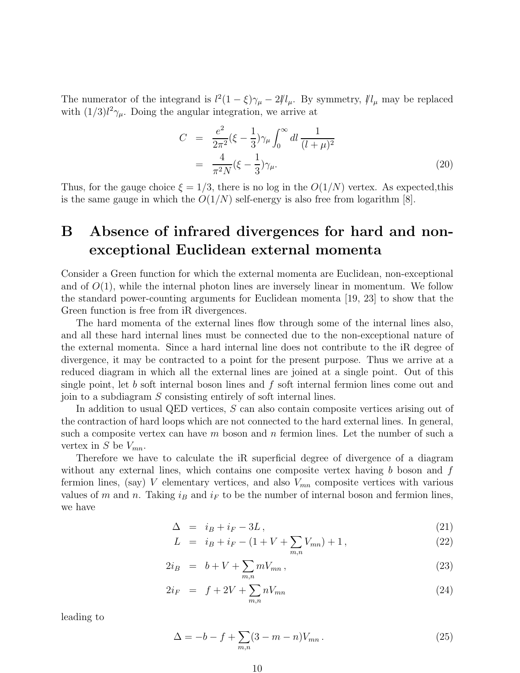The numerator of the integrand is  $l^2(1-\xi)\gamma_\mu-2l/\ell_\mu$ . By symmetry,  $l/\ell_\mu$  may be replaced with  $(1/3)l^2\gamma_\mu$ . Doing the angular integration, we arrive at

$$
C = \frac{e^2}{2\pi^2} (\xi - \frac{1}{3}) \gamma_\mu \int_0^\infty dl \, \frac{1}{(l+\mu)^2} = \frac{4}{\pi^2 N} (\xi - \frac{1}{3}) \gamma_\mu.
$$
 (20)

Thus, for the gauge choice  $\xi = 1/3$ , there is no log in the  $O(1/N)$  vertex. As expected, this is the same gauge in which the  $O(1/N)$  self-energy is also free from logarithm  $|8|$ .

### B Absence of infrared divergences for hard and nonexceptional Euclidean external momenta

Consider a Green function for which the external momenta are Euclidean, non-exceptional and of  $O(1)$ , while the internal photon lines are inversely linear in momentum. We follow the standard power-counting arguments for Euclidean momenta [19, 23] to show that the Green function is free from iR divergences.

The hard momenta of the external lines flow through some of the internal lines also, and all these hard internal lines must be connected due to the non-exceptional nature of the external momenta. Since a hard internal line does not contribute to the iR degree of divergence, it may be contracted to a point for the present purpose. Thus we arrive at a reduced diagram in which all the external lines are joined at a single point. Out of this single point, let b soft internal boson lines and  $f$  soft internal fermion lines come out and join to a subdiagram S consisting entirely of soft internal lines.

In addition to usual QED vertices, S can also contain composite vertices arising out of the contraction of hard loops which are not connected to the hard external lines. In general, such a composite vertex can have  $m$  boson and  $n$  fermion lines. Let the number of such a vertex in S be  $V_{mn}$ .

Therefore we have to calculate the iR superficial degree of divergence of a diagram without any external lines, which contains one composite vertex having  $b$  boson and  $f$ fermion lines, (say) V elementary vertices, and also  $V_{mn}$  composite vertices with various values of m and n. Taking  $i_B$  and  $i_F$  to be the number of internal boson and fermion lines, we have

$$
\Delta = i_B + i_F - 3L, \qquad (21)
$$

$$
L = i_B + i_F - (1 + V + \sum_{m,n} V_{mn}) + 1, \qquad (22)
$$

$$
2i_B = b + V + \sum_{m,n} mV_{mn}, \qquad (23)
$$

$$
2i_F = f + 2V + \sum_{m,n} nV_{mn} \tag{24}
$$

leading to

$$
\Delta = -b - f + \sum_{m,n} (3 - m - n)V_{mn} \,. \tag{25}
$$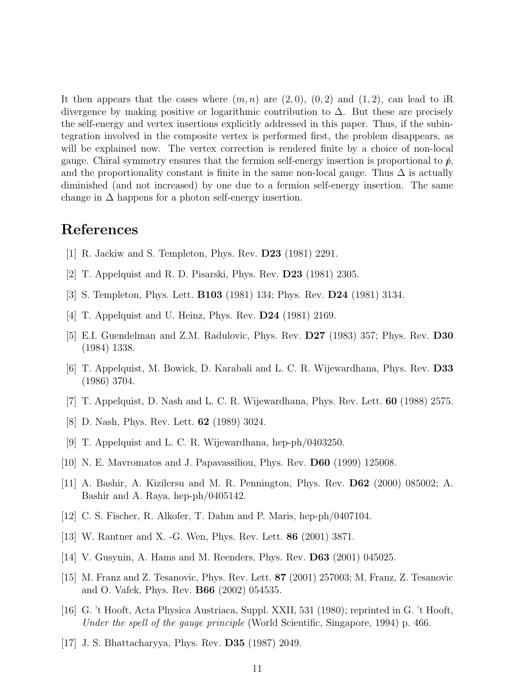It then appears that the cases where  $(m, n)$  are  $(2, 0), (0, 2)$  and  $(1, 2)$ , can lead to iR divergence by making positive or logarithmic contribution to  $\Delta$ . But these are precisely the self-energy and vertex insertions explicitly addressed in this paper. Thus, if the subintegration involved in the composite vertex is performed first, the problem disappears, as will be explained now. The vertex correction is rendered finite by a choice of non-local gauge. Chiral symmetry ensures that the fermion self-energy insertion is proportional to  $\hat{p}$ , and the proportionality constant is finite in the same non-local gauge. Thus  $\Delta$  is actually diminished (and not increased) by one due to a fermion self-energy insertion. The same change in  $\Delta$  happens for a photon self-energy insertion.

#### References

- [1] R. Jackiw and S. Templeton, Phys. Rev. D23 (1981) 2291.
- [2] T. Appelquist and R. D. Pisarski, Phys. Rev. D23 (1981) 2305.
- [3] S. Templeton, Phys. Lett. B103 (1981) 134; Phys. Rev. D24 (1981) 3134.
- [4] T. Appelquist and U. Heinz, Phys. Rev. D24 (1981) 2169.
- [5] E.I. Guendelman and Z.M. Radulovic, Phys. Rev. D27 (1983) 357; Phys. Rev. D30 (1984) 1338.
- [6] T. Appelquist, M. Bowick, D. Karabali and L. C. R. Wijewardhana, Phys. Rev. D33 (1986) 3704.
- [7] T. Appelquist, D. Nash and L. C. R. Wijewardhana, Phys. Rev. Lett. 60 (1988) 2575.
- [8] D. Nash, Phys. Rev. Lett. 62 (1989) 3024.
- [9] T. Appelquist and L. C. R. Wijewardhana, hep-ph/0403250.
- [10] N. E. Mavromatos and J. Papavassiliou, Phys. Rev. D60 (1999) 125008.
- [11] A. Bashir, A. Kizilersu and M. R. Pennington, Phys. Rev. D62 (2000) 085002; A. Bashir and A. Raya, hep-ph/0405142.
- [12] C. S. Fischer, R. Alkofer, T. Dahm and P. Maris, hep-ph/0407104.
- [13] W. Rantner and X. -G. Wen, Phys. Rev. Lett. 86 (2001) 3871.
- [14] V. Gusynin, A. Hams and M. Reenders, Phys. Rev. D63 (2001) 045025.
- [15] M. Franz and Z. Tesanovic, Phys. Rev. Lett. 87 (2001) 257003; M. Franz, Z. Tesanovic and O. Vafek, Phys. Rev. B66 (2002) 054535.
- [16] G. 't Hooft, Acta Physica Austriaca, Suppl. XXII, 531 (1980); reprinted in G. 't Hooft, Under the spell of the gauge principle (World Scientific, Singapore, 1994) p. 466.
- [17] J. S. Bhattacharyya, Phys. Rev. D35 (1987) 2049.